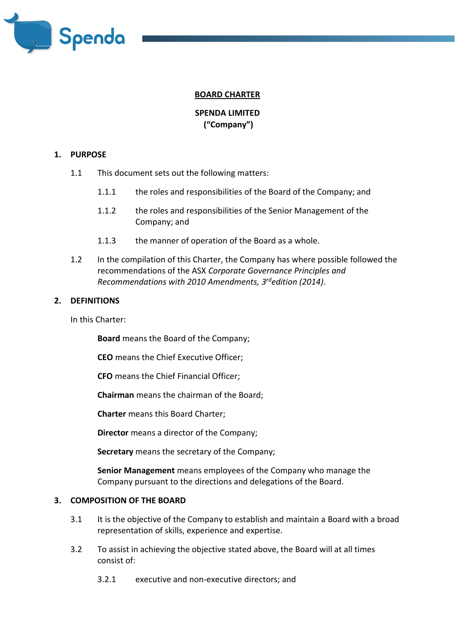

# **BOARD CHARTER**

# **SPENDA LIMITED ("Company")**

#### **1. PURPOSE**

- 1.1 This document sets out the following matters:
	- 1.1.1 the roles and responsibilities of the Board of the Company; and
	- 1.1.2 the roles and responsibilities of the Senior Management of the Company; and
	- 1.1.3 the manner of operation of the Board as a whole.
- 1.2 In the compilation of this Charter, the Company has where possible followed the recommendations of the ASX *Corporate Governance Principles and Recommendations with 2010 Amendments, 3 rdedition (2014)*.

#### **2. DEFINITIONS**

In this Charter:

**Board** means the Board of the Company;

**CEO** means the Chief Executive Officer;

**CFO** means the Chief Financial Officer;

**Chairman** means the chairman of the Board;

**Charter** means this Board Charter;

**Director** means a director of the Company;

**Secretary** means the secretary of the Company;

**Senior Management** means employees of the Company who manage the Company pursuant to the directions and delegations of the Board.

#### **3. COMPOSITION OF THE BOARD**

- 3.1 It is the objective of the Company to establish and maintain a Board with a broad representation of skills, experience and expertise.
- 3.2 To assist in achieving the objective stated above, the Board will at all times consist of:
	- 3.2.1 executive and non-executive directors; and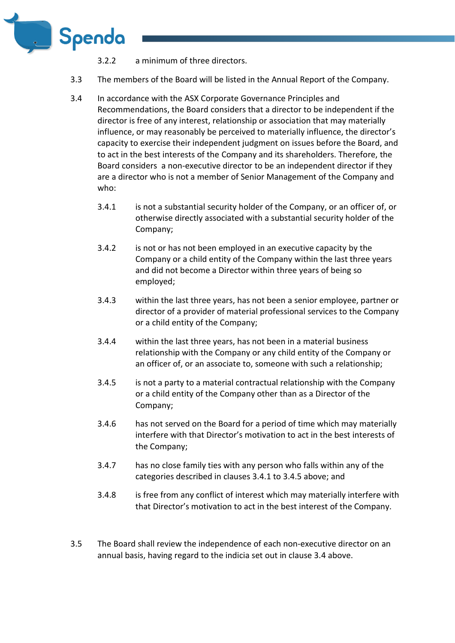

- 3.2.2 a minimum of three directors.
- 3.3 The members of the Board will be listed in the Annual Report of the Company.
- 3.4 In accordance with the ASX Corporate Governance Principles and Recommendations, the Board considers that a director to be independent if the director is free of any interest, relationship or association that may materially influence, or may reasonably be perceived to materially influence, the director's capacity to exercise their independent judgment on issues before the Board, and to act in the best interests of the Company and its shareholders. Therefore, the Board considers a non-executive director to be an independent director if they are a director who is not a member of Senior Management of the Company and who:
	- 3.4.1 is not a substantial security holder of the Company, or an officer of, or otherwise directly associated with a substantial security holder of the Company;
	- 3.4.2 is not or has not been employed in an executive capacity by the Company or a child entity of the Company within the last three years and did not become a Director within three years of being so employed;
	- 3.4.3 within the last three years, has not been a senior employee, partner or director of a provider of material professional services to the Company or a child entity of the Company;
	- 3.4.4 within the last three years, has not been in a material business relationship with the Company or any child entity of the Company or an officer of, or an associate to, someone with such a relationship;
	- 3.4.5 is not a party to a material contractual relationship with the Company or a child entity of the Company other than as a Director of the Company;
	- 3.4.6 has not served on the Board for a period of time which may materially interfere with that Director's motivation to act in the best interests of the Company;
	- 3.4.7 has no close family ties with any person who falls within any of the categories described in clauses 3.4.1 to 3.4.5 above; and
	- 3.4.8 is free from any conflict of interest which may materially interfere with that Director's motivation to act in the best interest of the Company.
- 3.5 The Board shall review the independence of each non-executive director on an annual basis, having regard to the indicia set out in clause 3.4 above.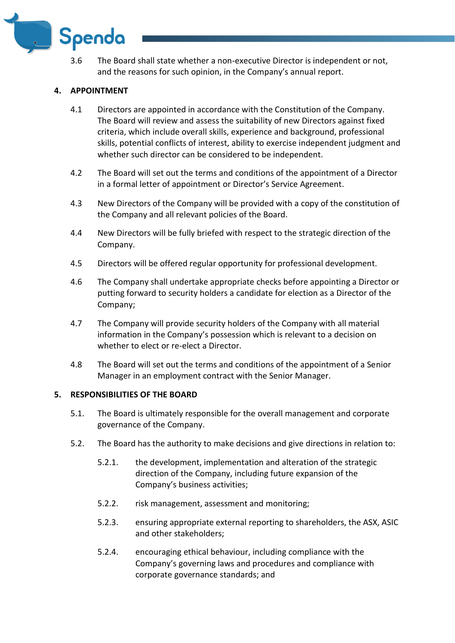

3.6 The Board shall state whether a non-executive Director is independent or not, and the reasons for such opinion, in the Company's annual report.

# **4. APPOINTMENT**

- 4.1 Directors are appointed in accordance with the Constitution of the Company. The Board will review and assess the suitability of new Directors against fixed criteria, which include overall skills, experience and background, professional skills, potential conflicts of interest, ability to exercise independent judgment and whether such director can be considered to be independent.
- 4.2 The Board will set out the terms and conditions of the appointment of a Director in a formal letter of appointment or Director's Service Agreement.
- 4.3 New Directors of the Company will be provided with a copy of the constitution of the Company and all relevant policies of the Board.
- 4.4 New Directors will be fully briefed with respect to the strategic direction of the Company.
- 4.5 Directors will be offered regular opportunity for professional development.
- 4.6 The Company shall undertake appropriate checks before appointing a Director or putting forward to security holders a candidate for election as a Director of the Company;
- 4.7 The Company will provide security holders of the Company with all material information in the Company's possession which is relevant to a decision on whether to elect or re-elect a Director.
- 4.8 The Board will set out the terms and conditions of the appointment of a Senior Manager in an employment contract with the Senior Manager.

# **5. RESPONSIBILITIES OF THE BOARD**

- 5.1. The Board is ultimately responsible for the overall management and corporate governance of the Company.
- 5.2. The Board has the authority to make decisions and give directions in relation to:
	- 5.2.1. the development, implementation and alteration of the strategic direction of the Company, including future expansion of the Company's business activities;
	- 5.2.2. risk management, assessment and monitoring;
	- 5.2.3. ensuring appropriate external reporting to shareholders, the ASX, ASIC and other stakeholders;
	- 5.2.4. encouraging ethical behaviour, including compliance with the Company's governing laws and procedures and compliance with corporate governance standards; and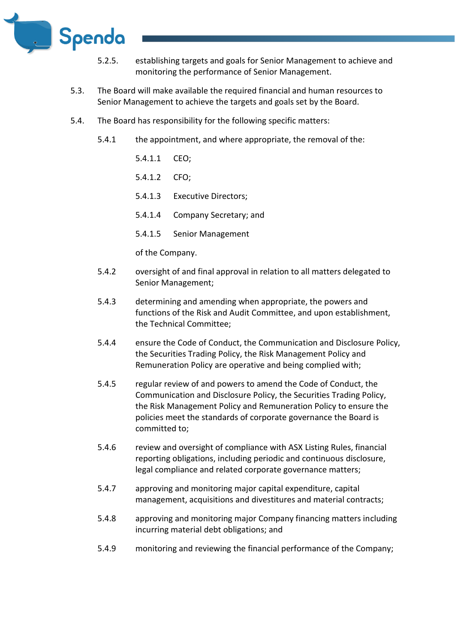

- 5.2.5. establishing targets and goals for Senior Management to achieve and monitoring the performance of Senior Management.
- 5.3. The Board will make available the required financial and human resources to Senior Management to achieve the targets and goals set by the Board.
- 5.4. The Board has responsibility for the following specific matters:
	- 5.4.1 the appointment, and where appropriate, the removal of the:
		- 5.4.1.1 CEO;
		- 5.4.1.2 CFO;
		- 5.4.1.3 Executive Directors;
		- 5.4.1.4 Company Secretary; and
		- 5.4.1.5 Senior Management

of the Company.

- 5.4.2 oversight of and final approval in relation to all matters delegated to Senior Management;
- 5.4.3 determining and amending when appropriate, the powers and functions of the Risk and Audit Committee, and upon establishment, the Technical Committee;
- 5.4.4 ensure the Code of Conduct, the Communication and Disclosure Policy, the Securities Trading Policy, the Risk Management Policy and Remuneration Policy are operative and being complied with;
- 5.4.5 regular review of and powers to amend the Code of Conduct, the Communication and Disclosure Policy, the Securities Trading Policy, the Risk Management Policy and Remuneration Policy to ensure the policies meet the standards of corporate governance the Board is committed to;
- 5.4.6 review and oversight of compliance with ASX Listing Rules, financial reporting obligations, including periodic and continuous disclosure, legal compliance and related corporate governance matters;
- 5.4.7 approving and monitoring major capital expenditure, capital management, acquisitions and divestitures and material contracts;
- 5.4.8 approving and monitoring major Company financing matters including incurring material debt obligations; and
- 5.4.9 monitoring and reviewing the financial performance of the Company;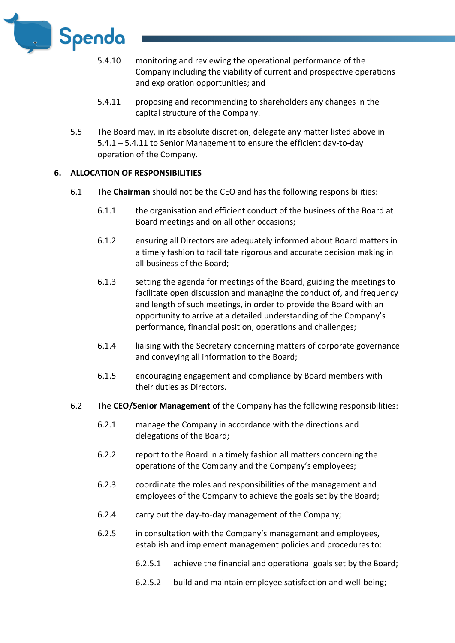

- 5.4.10 monitoring and reviewing the operational performance of the Company including the viability of current and prospective operations and exploration opportunities; and
- 5.4.11 proposing and recommending to shareholders any changes in the capital structure of the Company.
- 5.5 The Board may, in its absolute discretion, delegate any matter listed above in 5.4.1 – 5.4.11 to Senior Management to ensure the efficient day-to-day operation of the Company.

## **6. ALLOCATION OF RESPONSIBILITIES**

- 6.1 The **Chairman** should not be the CEO and has the following responsibilities:
	- 6.1.1 the organisation and efficient conduct of the business of the Board at Board meetings and on all other occasions;
	- 6.1.2 ensuring all Directors are adequately informed about Board matters in a timely fashion to facilitate rigorous and accurate decision making in all business of the Board;
	- 6.1.3 setting the agenda for meetings of the Board, guiding the meetings to facilitate open discussion and managing the conduct of, and frequency and length of such meetings, in order to provide the Board with an opportunity to arrive at a detailed understanding of the Company's performance, financial position, operations and challenges;
	- 6.1.4 liaising with the Secretary concerning matters of corporate governance and conveying all information to the Board;
	- 6.1.5 encouraging engagement and compliance by Board members with their duties as Directors.
- 6.2 The **CEO/Senior Management** of the Company has the following responsibilities:
	- 6.2.1 manage the Company in accordance with the directions and delegations of the Board;
	- 6.2.2 report to the Board in a timely fashion all matters concerning the operations of the Company and the Company's employees;
	- 6.2.3 coordinate the roles and responsibilities of the management and employees of the Company to achieve the goals set by the Board;
	- 6.2.4 carry out the day-to-day management of the Company;
	- 6.2.5 in consultation with the Company's management and employees, establish and implement management policies and procedures to:
		- 6.2.5.1 achieve the financial and operational goals set by the Board;
		- 6.2.5.2 build and maintain employee satisfaction and well-being;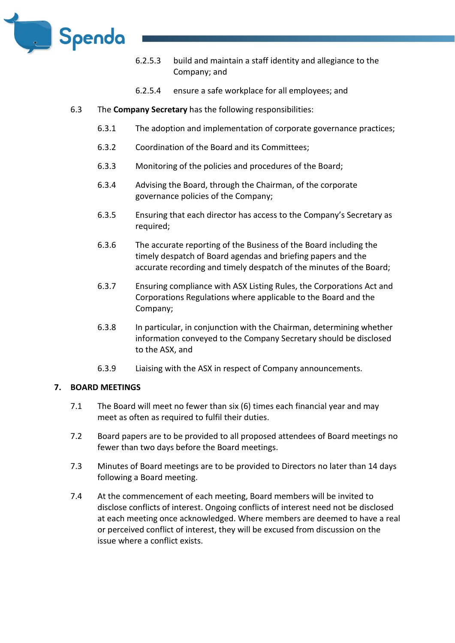

- 6.2.5.3 build and maintain a staff identity and allegiance to the Company; and
- 6.2.5.4 ensure a safe workplace for all employees; and
- 6.3 The **Company Secretary** has the following responsibilities:
	- 6.3.1 The adoption and implementation of corporate governance practices;
	- 6.3.2 Coordination of the Board and its Committees;
	- 6.3.3 Monitoring of the policies and procedures of the Board;
	- 6.3.4 Advising the Board, through the Chairman, of the corporate governance policies of the Company;
	- 6.3.5 Ensuring that each director has access to the Company's Secretary as required;
	- 6.3.6 The accurate reporting of the Business of the Board including the timely despatch of Board agendas and briefing papers and the accurate recording and timely despatch of the minutes of the Board;
	- 6.3.7 Ensuring compliance with ASX Listing Rules, the Corporations Act and Corporations Regulations where applicable to the Board and the Company;
	- 6.3.8 In particular, in conjunction with the Chairman, determining whether information conveyed to the Company Secretary should be disclosed to the ASX, and
	- 6.3.9 Liaising with the ASX in respect of Company announcements.

#### **7. BOARD MEETINGS**

- 7.1 The Board will meet no fewer than six (6) times each financial year and may meet as often as required to fulfil their duties.
- 7.2 Board papers are to be provided to all proposed attendees of Board meetings no fewer than two days before the Board meetings.
- 7.3 Minutes of Board meetings are to be provided to Directors no later than 14 days following a Board meeting.
- 7.4 At the commencement of each meeting, Board members will be invited to disclose conflicts of interest. Ongoing conflicts of interest need not be disclosed at each meeting once acknowledged. Where members are deemed to have a real or perceived conflict of interest, they will be excused from discussion on the issue where a conflict exists.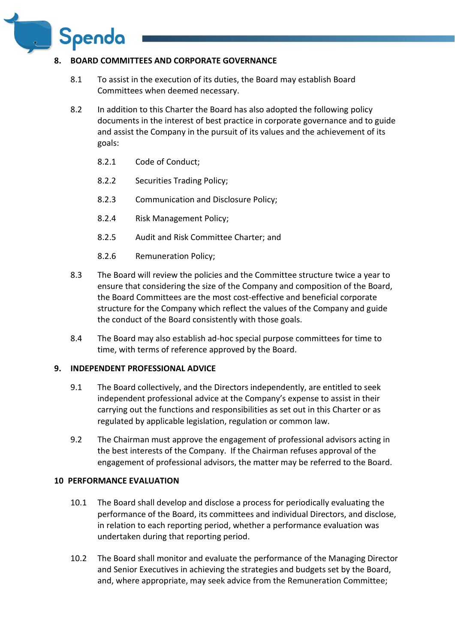

Spenda

- 8.1 To assist in the execution of its duties, the Board may establish Board Committees when deemed necessary.
- 8.2 In addition to this Charter the Board has also adopted the following policy documents in the interest of best practice in corporate governance and to guide and assist the Company in the pursuit of its values and the achievement of its goals:
	- 8.2.1 Code of Conduct;
	- 8.2.2 Securities Trading Policy;
	- 8.2.3 Communication and Disclosure Policy;
	- 8.2.4 Risk Management Policy;
	- 8.2.5 Audit and Risk Committee Charter; and
	- 8.2.6 Remuneration Policy;
- 8.3 The Board will review the policies and the Committee structure twice a year to ensure that considering the size of the Company and composition of the Board, the Board Committees are the most cost-effective and beneficial corporate structure for the Company which reflect the values of the Company and guide the conduct of the Board consistently with those goals.
- 8.4 The Board may also establish ad-hoc special purpose committees for time to time, with terms of reference approved by the Board.

#### **9. INDEPENDENT PROFESSIONAL ADVICE**

- 9.1 The Board collectively, and the Directors independently, are entitled to seek independent professional advice at the Company's expense to assist in their carrying out the functions and responsibilities as set out in this Charter or as regulated by applicable legislation, regulation or common law.
- 9.2 The Chairman must approve the engagement of professional advisors acting in the best interests of the Company. If the Chairman refuses approval of the engagement of professional advisors, the matter may be referred to the Board.

# **10 PERFORMANCE EVALUATION**

- 10.1 The Board shall develop and disclose a process for periodically evaluating the performance of the Board, its committees and individual Directors, and disclose, in relation to each reporting period, whether a performance evaluation was undertaken during that reporting period.
- 10.2 The Board shall monitor and evaluate the performance of the Managing Director and Senior Executives in achieving the strategies and budgets set by the Board, and, where appropriate, may seek advice from the Remuneration Committee;